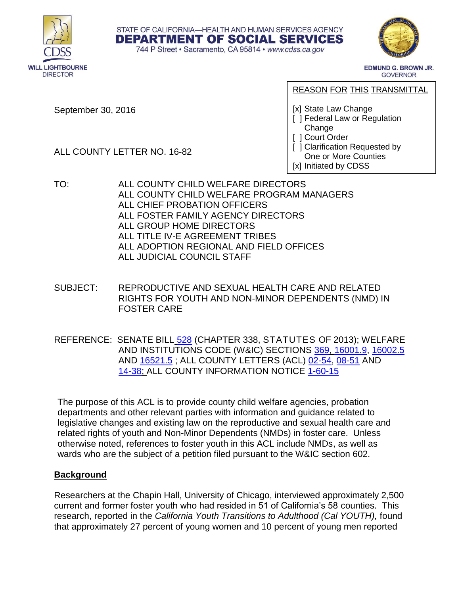



**EDMUND G. BROWN JR. GOVERNOR** 

September 30, 2016

REASON FOR THIS TRANSMITTAL

[x] State Law Change

- [ ] Federal Law or Regulation Change
- [ ] Court Order
- [ ] Clarification Requested by One or More Counties [x] Initiated by CDSS

ALL COUNTY LETTER NO. 16-82

- TO: ALL COUNTY CHILD WELFARE DIRECTORS ALL COUNTY CHILD WELFARE PROGRAM MANAGERS ALL CHIEF PROBATION OFFICERS ALL FOSTER FAMILY AGENCY DIRECTORS ALL GROUP HOME DIRECTORS ALL TITLE IV-E AGREEMENT TRIBES ALL ADOPTION REGIONAL AND FIELD OFFICES ALL JUDICIAL COUNCIL STAFF
- SUBJECT: REPRODUCTIVE AND SEXUAL HEALTH CARE AND RELATED RIGHTS FOR YOUTH AND NON-MINOR DEPENDENTS (NMD) IN FOSTER CARE

STATE OF CALIFORNIA-HEALTH AND HUMAN SERVICES AGENCY **DEPARTMENT OF SOCIAL SERVICES** 744 P Street · Sacramento, CA 95814 · www.cdss.ca.gov

REFERENCE: SENATE BILL [528](http://leginfo.legislature.ca.gov/faces/billNavClient.xhtml?bill_id=201320140SB528) (CHAPTER 338, STATUTES OF 2013); WELFARE AND INSTITUTIONS CODE (W&IC) SECTIONS [369,](http://leginfo.legislature.ca.gov/faces/codes_displaySection.xhtml?lawCode=WIC§ionNum=369.) [16001.9,](http://leginfo.legislature.ca.gov/faces/codes_displaySection.xhtml?lawCode=WIC§ionNum=16001.9.) [16002.5](http://leginfo.legislature.ca.gov/faces/codes_displaySection.xhtml?lawCode=WIC§ionNum=16002.5.) AND [16521.5](http://leginfo.legislature.ca.gov/faces/codes_displaySection.xhtml?lawCode=WIC§ionNum=16521.5.) ; ALL COUNTY LETTERS (ACL) [02-54,](http://www.dss.cahwnet.gov/lettersnotices/entres/getinfo/acl02/pdf/02-54.pdf) [08-51](http://www.dss.cahwnet.gov/lettersnotices/entres/getinfo/acl08/08-51.pdf) AND [14-38;](http://www.dss.cahwnet.gov/lettersnotices/EntRes/getinfo/acl/2014/14-38.pdf) ALL COUNTY INFORMATION NOTICE [1-60-15](http://www.dss.cahwnet.gov/lettersnotices/EntRes/getinfo/acin/2015/I-60_15.pdf)

The purpose of this ACL is to provide county child welfare agencies, probation departments and other relevant parties with information and guidance related to legislative changes and existing law on the reproductive and sexual health care and related rights of youth and Non-Minor Dependents (NMDs) in foster care. Unless otherwise noted, references to foster youth in this ACL include NMDs, as well as wards who are the subject of a petition filed pursuant to the W&IC section 602.

## **Background**

Researchers at the Chapin Hall, University of Chicago, interviewed approximately 2,500 current and former foster youth who had resided in 51 of California's 58 counties. This research, reported in the *California Youth Transitions to Adulthood (Cal YOUTH),* found that approximately 27 percent of young women and 10 percent of young men reported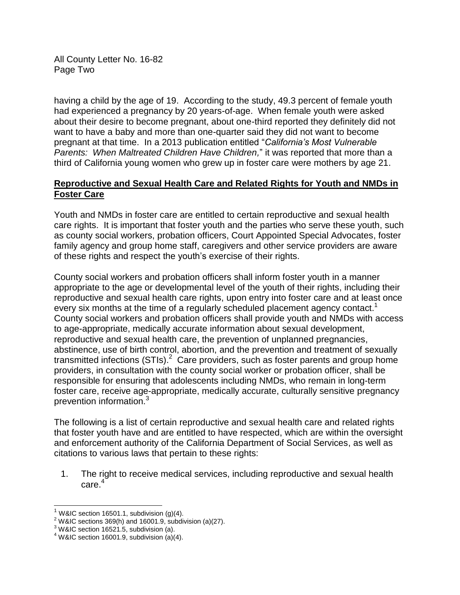All County Letter No. 16-82 Page Two

having a child by the age of 19. According to the study, 49.3 percent of female youth had experienced a pregnancy by 20 years-of-age. When female youth were asked about their desire to become pregnant, about one-third reported they definitely did not want to have a baby and more than one-quarter said they did not want to become pregnant at that time. In a 2013 publication entitled "*California's Most Vulnerable Parents: When Maltreated Children Have Children,*" it was reported that more than a third of California young women who grew up in foster care were mothers by age 21.

## **Reproductive and Sexual Health Care and Related Rights for Youth and NMDs in Foster Care**

Youth and NMDs in foster care are entitled to certain reproductive and sexual health care rights. It is important that foster youth and the parties who serve these youth, such as county social workers, probation officers, Court Appointed Special Advocates, foster family agency and group home staff, caregivers and other service providers are aware of these rights and respect the youth's exercise of their rights.

County social workers and probation officers shall inform foster youth in a manner appropriate to the age or developmental level of the youth of their rights, including their reproductive and sexual health care rights, upon entry into foster care and at least once every six months at the time of a regularly scheduled placement agency contact.<sup>1</sup> County social workers and probation officers shall provide youth and NMDs with access to age-appropriate, medically accurate information about sexual development, reproductive and sexual health care, the prevention of unplanned pregnancies, abstinence, use of birth control, abortion, and the prevention and treatment of sexually transmitted infections  $(STIs)<sup>2</sup>$  Care providers, such as foster parents and group home providers, in consultation with the county social worker or probation officer, shall be responsible for ensuring that adolescents including NMDs, who remain in long-term foster care, receive age-appropriate, medically accurate, culturally sensitive pregnancy prevention information.<sup>3</sup>

The following is a list of certain reproductive and sexual health care and related rights that foster youth have and are entitled to have respected, which are within the oversight and enforcement authority of the California Department of Social Services, as well as citations to various laws that pertain to these rights:

1. The right to receive medical services, including reproductive and sexual health care.<sup>4</sup>

 $\overline{\phantom{a}}$ 

W&IC section 16501.1, subdivision (g)(4).

 $2$  W&IC sections 369(h) and 16001.9, subdivision (a)(27).

 $3$  W&IC section 16521.5, subdivision (a).

 $4$  W&IC section 16001.9, subdivision (a)(4).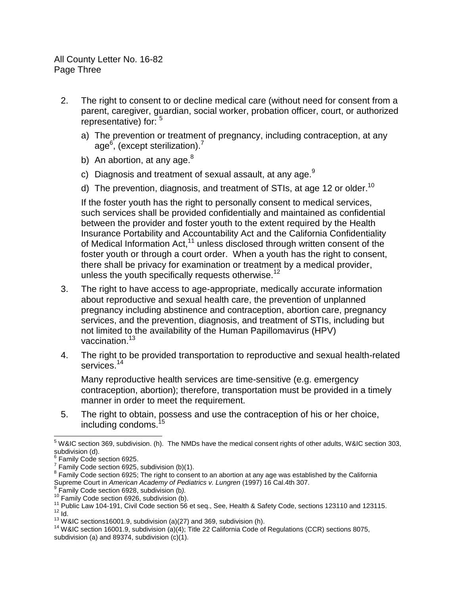All County Letter No. 16-82 Page Three

- 2. The right to consent to or decline medical care (without need for consent from a parent, caregiver, guardian, social worker, probation officer, court, or authorized representative) for: <sup>5</sup>
	- a) The prevention or treatment of pregnancy, including contraception, at any age<sup>6</sup>, (except sterilization).<sup>7</sup>
	- b) An abortion, at any age. $8$
	- c) Diagnosis and treatment of sexual assault, at any age. $^9$
	- d) The prevention, diagnosis, and treatment of STIs, at age 12 or older.<sup>10</sup>

If the foster youth has the right to personally consent to medical services, such services shall be provided confidentially and maintained as confidential between the provider and foster youth to the extent required by the Health Insurance Portability and Accountability Act and the California Confidentiality of Medical Information Act,<sup>11</sup> unless disclosed through written consent of the foster youth or through a court order. When a youth has the right to consent, there shall be privacy for examination or treatment by a medical provider, unless the youth specifically requests otherwise.<sup>12</sup>

- 3. The right to have access to age-appropriate, medically accurate information about reproductive and sexual health care, the prevention of unplanned pregnancy including abstinence and contraception, abortion care, pregnancy services, and the prevention, diagnosis, and treatment of STIs, including but not limited to the availability of the Human Papillomavirus (HPV) vaccination.<sup>13</sup>
- 4. The right to be provided transportation to reproductive and sexual health-related services.<sup>14</sup>

Many reproductive health services are time-sensitive (e.g. emergency contraception, abortion); therefore, transportation must be provided in a timely manner in order to meet the requirement.

5. The right to obtain, possess and use the contraception of his or her choice, including condoms.<sup>15</sup>

l

<sup>5</sup> W&IC section 369, subdivision. (h). The NMDs have the medical consent rights of other adults, W&IC section 303, subdivision (d).<br><sup>6</sup> Eamily Cade a

Family Code section 6925.

 $7$  Family Code section 6925, subdivision (b)(1).

 $8$  Family Code section 6925; The right to consent to an abortion at any age was established by the California Supreme Court in *American Academy of Pediatrics v. Lungren* (1997) 16 Cal.4th 307.<br><sup>9</sup> Eamily Cade asstian 6038, subdivision (b).

Family Code section 6928, subdivision (b*).*

 $10$  Family Code section 6926, subdivision (b).

<sup>&</sup>lt;sup>11</sup> Public Law 104-191, Civil Code section 56 et seq., See, Health & Safety Code, sections 123110 and 123115.  $12$   $\overline{10}$ .

 $13$  W&IC sections16001.9, subdivision (a)(27) and 369, subdivision (h).

<sup>&</sup>lt;sup>14</sup> W&IC section 16001.9, subdivision (a)(4); Title 22 California Code of Regulations (CCR) sections 8075, subdivision (a) and 89374, subdivision (c)(1).